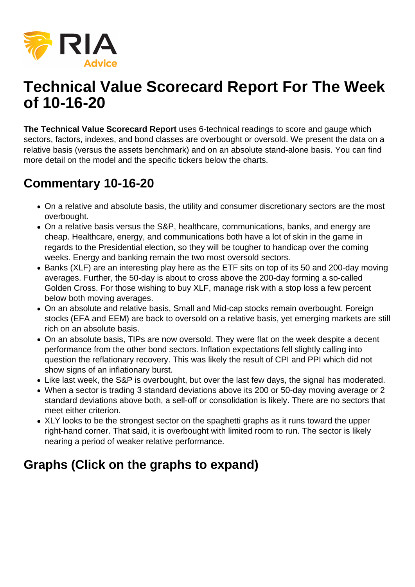

## **Technical Value Scorecard Report For The Week of 10-16-20**

**The Technical Value Scorecard Report** uses 6-technical readings to score and gauge which sectors, factors, indexes, and bond classes are overbought or oversold. We present the data on a relative basis (versus the assets benchmark) and on an absolute stand-alone basis. You can find more detail on the model and the specific tickers below the charts.

## **Commentary 10-16-20**

- On a relative and absolute basis, the utility and consumer discretionary sectors are the most overbought.
- On a relative basis versus the S&P, healthcare, communications, banks, and energy are cheap. Healthcare, energy, and communications both have a lot of skin in the game in regards to the Presidential election, so they will be tougher to handicap over the coming weeks. Energy and banking remain the two most oversold sectors.
- Banks (XLF) are an interesting play here as the ETF sits on top of its 50 and 200-day moving averages. Further, the 50-day is about to cross above the 200-day forming a so-called Golden Cross. For those wishing to buy XLF, manage risk with a stop loss a few percent below both moving averages.
- On an absolute and relative basis, Small and Mid-cap stocks remain overbought. Foreign stocks (EFA and EEM) are back to oversold on a relative basis, yet emerging markets are still rich on an absolute basis.
- On an absolute basis, TIPs are now oversold. They were flat on the week despite a decent performance from the other bond sectors. Inflation expectations fell slightly calling into question the reflationary recovery. This was likely the result of CPI and PPI which did not show signs of an inflationary burst.
- Like last week, the S&P is overbought, but over the last few days, the signal has moderated.
- When a sector is trading 3 standard deviations above its 200 or 50-day moving average or 2 standard deviations above both, a sell-off or consolidation is likely. There are no sectors that meet either criterion.
- XLY looks to be the strongest sector on the spaghetti graphs as it runs toward the upper right-hand corner. That said, it is overbought with limited room to run. The sector is likely nearing a period of weaker relative performance.

## **Graphs (Click on the graphs to expand)**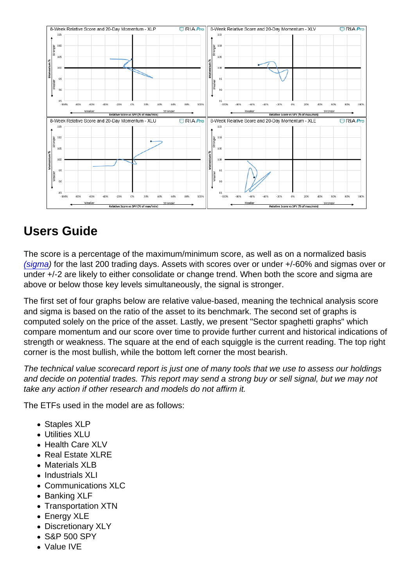## Users Guide

The score is a percentage of the maximum/minimum score, as well as on a normalized basis [\(sigma](https://www.investopedia.com/terms/s/standarddeviation.asp)) for the last 200 trading days. Assets with scores over or under +/-60% and sigmas over or under +/-2 are likely to either consolidate or change trend. When both the score and sigma are above or below those key levels simultaneously, the signal is stronger.

The first set of four graphs below are relative value-based, meaning the technical analysis score and sigma is based on the ratio of the asset to its benchmark. The second set of graphs is computed solely on the price of the asset. Lastly, we present "Sector spaghetti graphs" which compare momentum and our score over time to provide further current and historical indications of strength or weakness. The square at the end of each squiggle is the current reading. The top right corner is the most bullish, while the bottom left corner the most bearish.

The technical value scorecard report is just one of many tools that we use to assess our holdings and decide on potential trades. This report may send a strong buy or sell signal, but we may not take any action if other research and models do not affirm it.

The ETFs used in the model are as follows:

- Staples XLP
- Utilities XLU
- Health Care XLV
- Real Estate XLRE
- Materials XLB
- Industrials XLI
- Communications XLC
- Banking XLF
- Transportation XTN
- Energy XLE
- Discretionary XLY
- S&P 500 SPY
- Value IVE